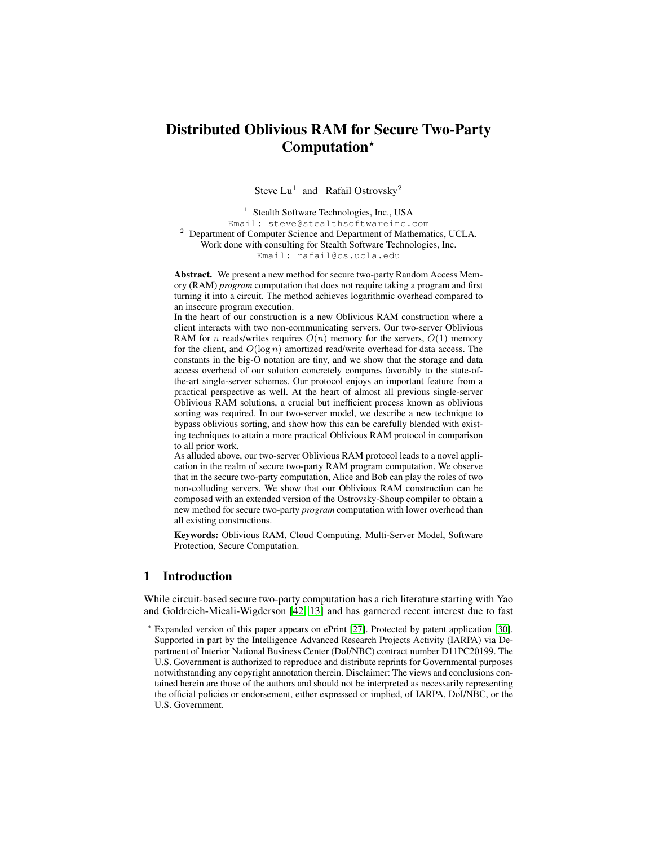# Distributed Oblivious RAM for Secure Two-Party Computation?

Steve  $Lu^1$  and Rafail Ostrovsky<sup>2</sup>

<sup>1</sup> Stealth Software Technologies, Inc., USA Email: steve@stealthsoftwareinc.com <sup>2</sup> Department of Computer Science and Department of Mathematics, UCLA. Work done with consulting for Stealth Software Technologies, Inc. Email: rafail@cs.ucla.edu

Abstract. We present a new method for secure two-party Random Access Memory (RAM) *program* computation that does not require taking a program and first turning it into a circuit. The method achieves logarithmic overhead compared to an insecure program execution.

In the heart of our construction is a new Oblivious RAM construction where a client interacts with two non-communicating servers. Our two-server Oblivious RAM for *n* reads/writes requires  $O(n)$  memory for the servers,  $O(1)$  memory for the client, and  $O(\log n)$  amortized read/write overhead for data access. The constants in the big-O notation are tiny, and we show that the storage and data access overhead of our solution concretely compares favorably to the state-ofthe-art single-server schemes. Our protocol enjoys an important feature from a practical perspective as well. At the heart of almost all previous single-server Oblivious RAM solutions, a crucial but inefficient process known as oblivious sorting was required. In our two-server model, we describe a new technique to bypass oblivious sorting, and show how this can be carefully blended with existing techniques to attain a more practical Oblivious RAM protocol in comparison to all prior work.

As alluded above, our two-server Oblivious RAM protocol leads to a novel application in the realm of secure two-party RAM program computation. We observe that in the secure two-party computation, Alice and Bob can play the roles of two non-colluding servers. We show that our Oblivious RAM construction can be composed with an extended version of the Ostrovsky-Shoup compiler to obtain a new method for secure two-party *program* computation with lower overhead than all existing constructions.

Keywords: Oblivious RAM, Cloud Computing, Multi-Server Model, Software Protection, Secure Computation.

# 1 Introduction

While circuit-based secure two-party computation has a rich literature starting with Yao and Goldreich-Micali-Wigderson [\[42,](#page-19-0) [13\]](#page-18-0) and has garnered recent interest due to fast

Expanded version of this paper appears on ePrint [\[27\]](#page-19-1). Protected by patent application [\[30\]](#page-19-2). Supported in part by the Intelligence Advanced Research Projects Activity (IARPA) via Department of Interior National Business Center (DoI/NBC) contract number D11PC20199. The U.S. Government is authorized to reproduce and distribute reprints for Governmental purposes notwithstanding any copyright annotation therein. Disclaimer: The views and conclusions contained herein are those of the authors and should not be interpreted as necessarily representing the official policies or endorsement, either expressed or implied, of IARPA, DoI/NBC, or the U.S. Government.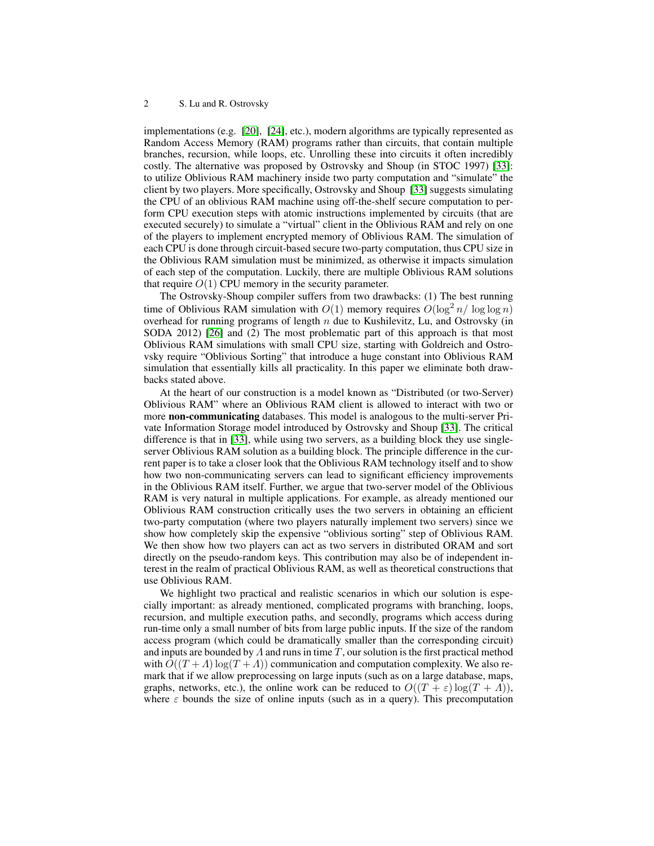implementations (e.g. [\[20\]](#page-19-3), [\[24\]](#page-19-4), etc.), modern algorithms are typically represented as Random Access Memory (RAM) programs rather than circuits, that contain multiple branches, recursion, while loops, etc. Unrolling these into circuits it often incredibly costly. The alternative was proposed by Ostrovsky and Shoup (in STOC 1997) [\[33\]](#page-19-5): to utilize Oblivious RAM machinery inside two party computation and "simulate" the client by two players. More specifically, Ostrovsky and Shoup [\[33\]](#page-19-5) suggests simulating the CPU of an oblivious RAM machine using off-the-shelf secure computation to perform CPU execution steps with atomic instructions implemented by circuits (that are executed securely) to simulate a "virtual" client in the Oblivious RAM and rely on one of the players to implement encrypted memory of Oblivious RAM. The simulation of each CPU is done through circuit-based secure two-party computation, thus CPU size in the Oblivious RAM simulation must be minimized, as otherwise it impacts simulation of each step of the computation. Luckily, there are multiple Oblivious RAM solutions that require  $O(1)$  CPU memory in the security parameter.

The Ostrovsky-Shoup compiler suffers from two drawbacks: (1) The best running time of Oblivious RAM simulation with  $O(1)$  memory requires  $O(\log^2 n / \log \log n)$ overhead for running programs of length  $n$  due to Kushilevitz, Lu, and Ostrovsky (in SODA 2012) [\[26\]](#page-19-6) and (2) The most problematic part of this approach is that most Oblivious RAM simulations with small CPU size, starting with Goldreich and Ostrovsky require "Oblivious Sorting" that introduce a huge constant into Oblivious RAM simulation that essentially kills all practicality. In this paper we eliminate both drawbacks stated above.

At the heart of our construction is a model known as "Distributed (or two-Server) Oblivious RAM" where an Oblivious RAM client is allowed to interact with two or more non-communicating databases. This model is analogous to the multi-server Private Information Storage model introduced by Ostrovsky and Shoup [\[33\]](#page-19-5). The critical difference is that in [\[33\]](#page-19-5), while using two servers, as a building block they use singleserver Oblivious RAM solution as a building block. The principle difference in the current paper is to take a closer look that the Oblivious RAM technology itself and to show how two non-communicating servers can lead to significant efficiency improvements in the Oblivious RAM itself. Further, we argue that two-server model of the Oblivious RAM is very natural in multiple applications. For example, as already mentioned our Oblivious RAM construction critically uses the two servers in obtaining an efficient two-party computation (where two players naturally implement two servers) since we show how completely skip the expensive "oblivious sorting" step of Oblivious RAM. We then show how two players can act as two servers in distributed ORAM and sort directly on the pseudo-random keys. This contribution may also be of independent interest in the realm of practical Oblivious RAM, as well as theoretical constructions that use Oblivious RAM.

We highlight two practical and realistic scenarios in which our solution is especially important: as already mentioned, complicated programs with branching, loops, recursion, and multiple execution paths, and secondly, programs which access during run-time only a small number of bits from large public inputs. If the size of the random access program (which could be dramatically smaller than the corresponding circuit) and inputs are bounded by  $\Lambda$  and runs in time  $T$ , our solution is the first practical method with  $\tilde{O}((T + \Lambda) \log(T + \Lambda))$  communication and computation complexity. We also remark that if we allow preprocessing on large inputs (such as on a large database, maps, graphs, networks, etc.), the online work can be reduced to  $O((T + \varepsilon) \log(T + \Lambda))$ , where  $\varepsilon$  bounds the size of online inputs (such as in a query). This precomputation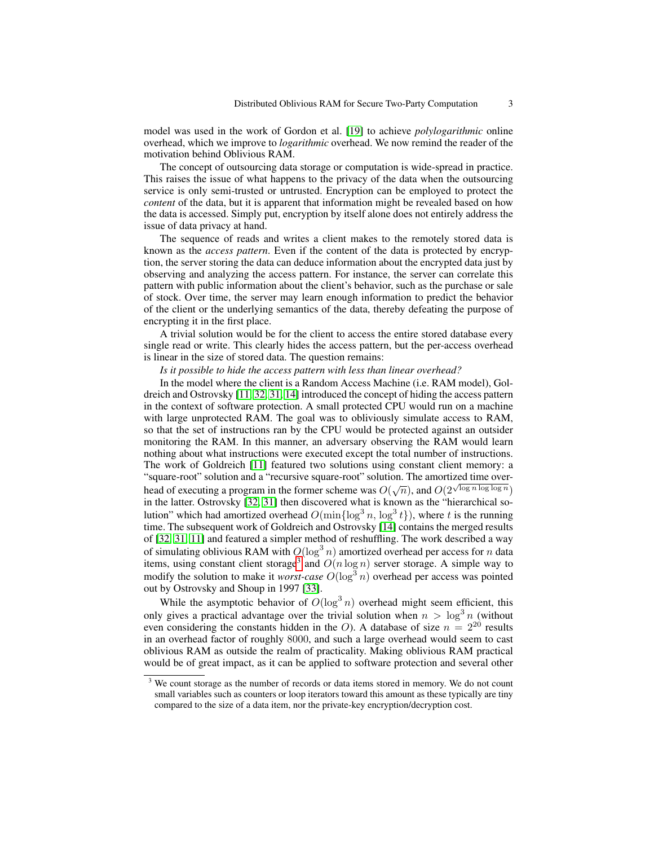model was used in the work of Gordon et al. [\[19\]](#page-19-7) to achieve *polylogarithmic* online overhead, which we improve to *logarithmic* overhead. We now remind the reader of the motivation behind Oblivious RAM.

The concept of outsourcing data storage or computation is wide-spread in practice. This raises the issue of what happens to the privacy of the data when the outsourcing service is only semi-trusted or untrusted. Encryption can be employed to protect the *content* of the data, but it is apparent that information might be revealed based on how the data is accessed. Simply put, encryption by itself alone does not entirely address the issue of data privacy at hand.

The sequence of reads and writes a client makes to the remotely stored data is known as the *access pattern*. Even if the content of the data is protected by encryption, the server storing the data can deduce information about the encrypted data just by observing and analyzing the access pattern. For instance, the server can correlate this pattern with public information about the client's behavior, such as the purchase or sale of stock. Over time, the server may learn enough information to predict the behavior of the client or the underlying semantics of the data, thereby defeating the purpose of encrypting it in the first place.

A trivial solution would be for the client to access the entire stored database every single read or write. This clearly hides the access pattern, but the per-access overhead is linear in the size of stored data. The question remains:

*Is it possible to hide the access pattern with less than linear overhead?*

In the model where the client is a Random Access Machine (i.e. RAM model), Goldreich and Ostrovsky [\[11,](#page-18-1) [32,](#page-19-8) [31,](#page-19-9) [14\]](#page-18-2) introduced the concept of hiding the access pattern in the context of software protection. A small protected CPU would run on a machine with large unprotected RAM. The goal was to obliviously simulate access to RAM, so that the set of instructions ran by the CPU would be protected against an outsider monitoring the RAM. In this manner, an adversary observing the RAM would learn nothing about what instructions were executed except the total number of instructions. The work of Goldreich [\[11\]](#page-18-1) featured two solutions using constant client memory: a "square-root" solution and a "recursive square-root" solution. The amortized time over-√ head of executing a program in the former scheme was  $O(\sqrt{n})$ , and  $O(2^{\sqrt{\log n \log \log n}})$ in the latter. Ostrovsky [\[32,](#page-19-8) [31\]](#page-19-9) then discovered what is known as the "hierarchical solution" which had amortized overhead  $O(\min\{\log^3 n, \log^3 t\})$ , where t is the running time. The subsequent work of Goldreich and Ostrovsky [\[14\]](#page-18-2) contains the merged results of [\[32,](#page-19-8) [31,](#page-19-9) [11\]](#page-18-1) and featured a simpler method of reshuffling. The work described a way of simulating oblivious RAM with  $O(\log^3 n)$  amortized overhead per access for n data items, using constant client storage<sup>[3](#page-2-0)</sup> and  $O(n \log n)$  server storage. A simple way to modify the solution to make it *worst-case*  $O(\log^3 n)$  overhead per access was pointed out by Ostrovsky and Shoup in 1997 [\[33\]](#page-19-5).

While the asymptotic behavior of  $O(\log^3 n)$  overhead might seem efficient, this only gives a practical advantage over the trivial solution when  $n > \log^3 n$  (without even considering the constants hidden in the O). A database of size  $n = 2^{20}$  results in an overhead factor of roughly 8000, and such a large overhead would seem to cast oblivious RAM as outside the realm of practicality. Making oblivious RAM practical would be of great impact, as it can be applied to software protection and several other

<span id="page-2-0"></span><sup>&</sup>lt;sup>3</sup> We count storage as the number of records or data items stored in memory. We do not count small variables such as counters or loop iterators toward this amount as these typically are tiny compared to the size of a data item, nor the private-key encryption/decryption cost.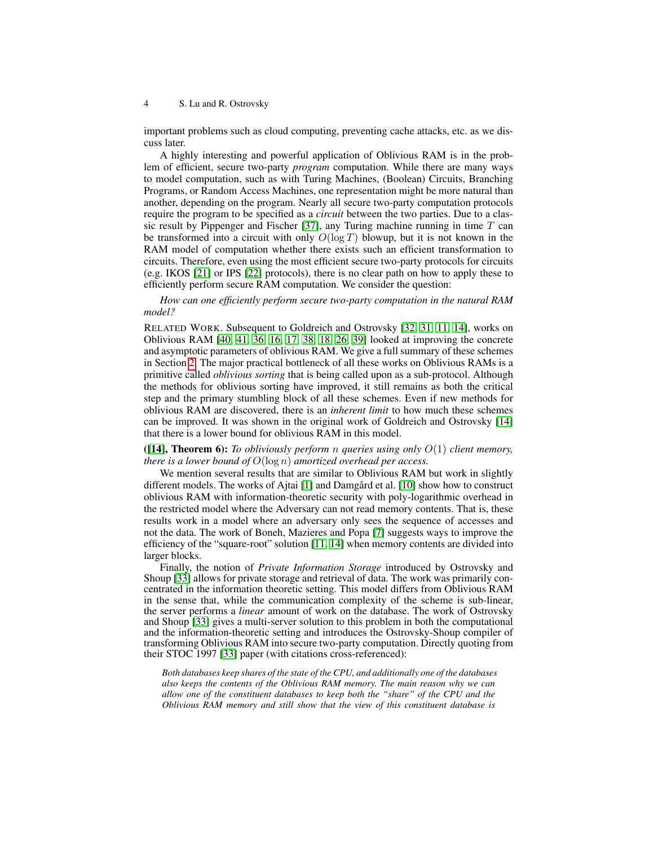important problems such as cloud computing, preventing cache attacks, etc. as we discuss later.

A highly interesting and powerful application of Oblivious RAM is in the problem of efficient, secure two-party *program* computation. While there are many ways to model computation, such as with Turing Machines, (Boolean) Circuits, Branching Programs, or Random Access Machines, one representation might be more natural than another, depending on the program. Nearly all secure two-party computation protocols require the program to be specified as a *circuit* between the two parties. Due to a clas-sic result by Pippenger and Fischer [\[37\]](#page-19-10), any Turing machine running in time  $T$  can be transformed into a circuit with only  $O(\log T)$  blowup, but it is not known in the RAM model of computation whether there exists such an efficient transformation to circuits. Therefore, even using the most efficient secure two-party protocols for circuits (e.g. IKOS [\[21\]](#page-19-11) or IPS [\[22\]](#page-19-12) protocols), there is no clear path on how to apply these to efficiently perform secure RAM computation. We consider the question:

*How can one efficiently perform secure two-party computation in the natural RAM model?*

RELATED WORK. Subsequent to Goldreich and Ostrovsky [\[32,](#page-19-8) [31,](#page-19-9) [11,](#page-18-1) [14\]](#page-18-2), works on Oblivious RAM [\[40,](#page-19-13) [41,](#page-19-14) [36,](#page-19-15) [16,](#page-18-3) [17,](#page-19-16) [38,](#page-19-17) [18,](#page-19-18) [26,](#page-19-6) [39\]](#page-19-19) looked at improving the concrete and asymptotic parameters of oblivious RAM. We give a full summary of these schemes in Section [2.](#page-6-0) The major practical bottleneck of all these works on Oblivious RAMs is a primitive called *oblivious sorting* that is being called upon as a sub-protocol. Although the methods for oblivious sorting have improved, it still remains as both the critical step and the primary stumbling block of all these schemes. Even if new methods for oblivious RAM are discovered, there is an *inherent limit* to how much these schemes can be improved. It was shown in the original work of Goldreich and Ostrovsky [\[14\]](#page-18-2) that there is a lower bound for oblivious RAM in this model.

([\[14\]](#page-18-2), Theorem 6): *To obliviously perform* n *queries using only* O(1) *client memory, there is a lower bound of* O(log n) *amortized overhead per access.*

We mention several results that are similar to Oblivious RAM but work in slightly different models. The works of Ajtai [\[1\]](#page-18-4) and Damgård et al. [\[10\]](#page-18-5) show how to construct oblivious RAM with information-theoretic security with poly-logarithmic overhead in the restricted model where the Adversary can not read memory contents. That is, these results work in a model where an adversary only sees the sequence of accesses and not the data. The work of Boneh, Mazieres and Popa [\[7\]](#page-18-6) suggests ways to improve the efficiency of the "square-root" solution [\[11,](#page-18-1) [14\]](#page-18-2) when memory contents are divided into larger blocks.

Finally, the notion of *Private Information Storage* introduced by Ostrovsky and Shoup [\[33\]](#page-19-5) allows for private storage and retrieval of data. The work was primarily concentrated in the information theoretic setting. This model differs from Oblivious RAM in the sense that, while the communication complexity of the scheme is sub-linear, the server performs a *linear* amount of work on the database. The work of Ostrovsky and Shoup [\[33\]](#page-19-5) gives a multi-server solution to this problem in both the computational and the information-theoretic setting and introduces the Ostrovsky-Shoup compiler of transforming Oblivious RAM into secure two-party computation. Directly quoting from their STOC 1997 [\[33\]](#page-19-5) paper (with citations cross-referenced):

*Both databases keep shares of the state of the CPU, and additionally one of the databases also keeps the contents of the Oblivious RAM memory. The main reason why we can allow one of the constituent databases to keep both the "share" of the CPU and the Oblivious RAM memory and still show that the view of this constituent database is*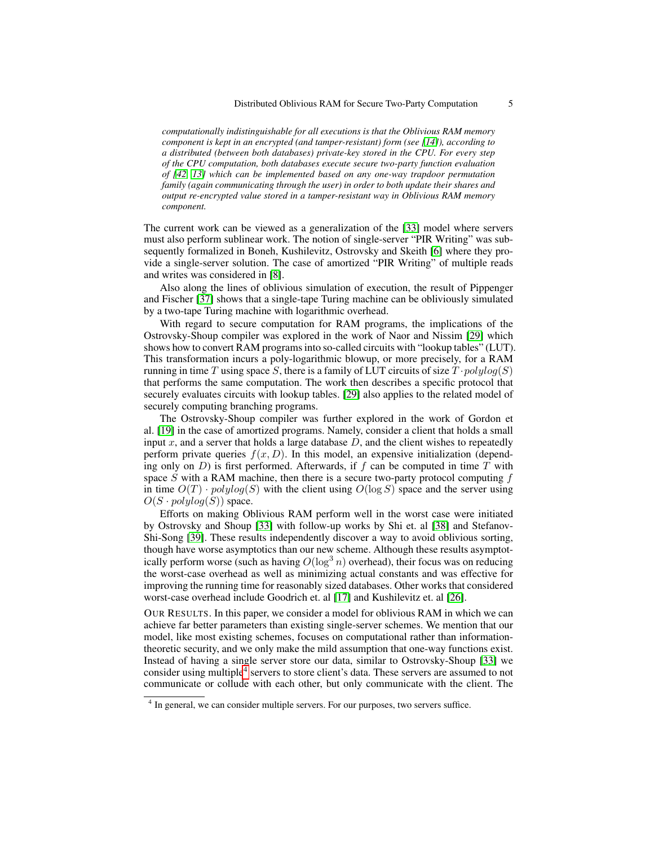*computationally indistinguishable for all executions is that the Oblivious RAM memory component is kept in an encrypted (and tamper-resistant) form (see [\[14\]](#page-18-2)), according to a distributed (between both databases) private-key stored in the CPU. For every step of the CPU computation, both databases execute secure two-party function evaluation of [\[42,](#page-19-0) [13\]](#page-18-0) which can be implemented based on any one-way trapdoor permutation family (again communicating through the user) in order to both update their shares and output re-encrypted value stored in a tamper-resistant way in Oblivious RAM memory component.*

The current work can be viewed as a generalization of the [\[33\]](#page-19-5) model where servers must also perform sublinear work. The notion of single-server "PIR Writing" was subsequently formalized in Boneh, Kushilevitz, Ostrovsky and Skeith [\[6\]](#page-18-7) where they provide a single-server solution. The case of amortized "PIR Writing" of multiple reads and writes was considered in [\[8\]](#page-18-8).

Also along the lines of oblivious simulation of execution, the result of Pippenger and Fischer [\[37\]](#page-19-10) shows that a single-tape Turing machine can be obliviously simulated by a two-tape Turing machine with logarithmic overhead.

With regard to secure computation for RAM programs, the implications of the Ostrovsky-Shoup compiler was explored in the work of Naor and Nissim [\[29\]](#page-19-20) which shows how to convert RAM programs into so-called circuits with "lookup tables" (LUT). This transformation incurs a poly-logarithmic blowup, or more precisely, for a RAM running in time T using space S, there is a family of LUT circuits of size  $T \cdot polylog(S)$ that performs the same computation. The work then describes a specific protocol that securely evaluates circuits with lookup tables. [\[29\]](#page-19-20) also applies to the related model of securely computing branching programs.

The Ostrovsky-Shoup compiler was further explored in the work of Gordon et al. [\[19\]](#page-19-7) in the case of amortized programs. Namely, consider a client that holds a small input x, and a server that holds a large database  $D$ , and the client wishes to repeatedly perform private queries  $f(x, D)$ . In this model, an expensive initialization (depending only on  $D$ ) is first performed. Afterwards, if f can be computed in time  $T$  with space  $S$  with a RAM machine, then there is a secure two-party protocol computing  $f$ in time  $O(T) \cdot polylog(S)$  with the client using  $O(log S)$  space and the server using  $O(S \cdot polylog(S))$  space.

Efforts on making Oblivious RAM perform well in the worst case were initiated by Ostrovsky and Shoup [\[33\]](#page-19-5) with follow-up works by Shi et. al [\[38\]](#page-19-17) and Stefanov-Shi-Song [\[39\]](#page-19-19). These results independently discover a way to avoid oblivious sorting, though have worse asymptotics than our new scheme. Although these results asymptotically perform worse (such as having  $O(\log^3 n)$  overhead), their focus was on reducing the worst-case overhead as well as minimizing actual constants and was effective for improving the running time for reasonably sized databases. Other works that considered worst-case overhead include Goodrich et. al [\[17\]](#page-19-16) and Kushilevitz et. al [\[26\]](#page-19-6).

OUR RESULTS. In this paper, we consider a model for oblivious RAM in which we can achieve far better parameters than existing single-server schemes. We mention that our model, like most existing schemes, focuses on computational rather than informationtheoretic security, and we only make the mild assumption that one-way functions exist. Instead of having a single server store our data, similar to Ostrovsky-Shoup [\[33\]](#page-19-5) we consider using multiple<sup> $4$ </sup> servers to store client's data. These servers are assumed to not communicate or collude with each other, but only communicate with the client. The

<span id="page-4-0"></span><sup>&</sup>lt;sup>4</sup> In general, we can consider multiple servers. For our purposes, two servers suffice.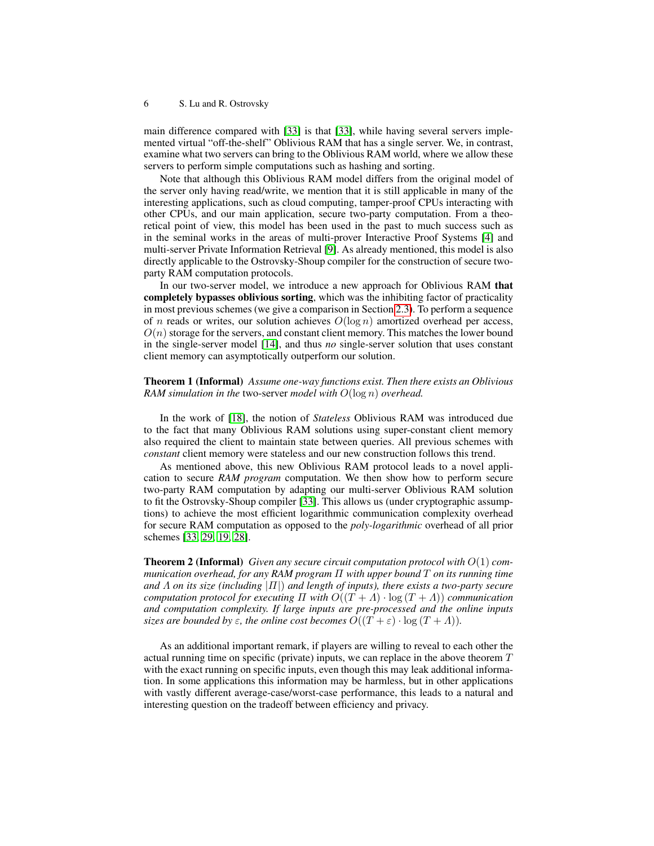main difference compared with [\[33\]](#page-19-5) is that [\[33\]](#page-19-5), while having several servers implemented virtual "off-the-shelf" Oblivious RAM that has a single server. We, in contrast, examine what two servers can bring to the Oblivious RAM world, where we allow these servers to perform simple computations such as hashing and sorting.

Note that although this Oblivious RAM model differs from the original model of the server only having read/write, we mention that it is still applicable in many of the interesting applications, such as cloud computing, tamper-proof CPUs interacting with other CPUs, and our main application, secure two-party computation. From a theoretical point of view, this model has been used in the past to much success such as in the seminal works in the areas of multi-prover Interactive Proof Systems [\[4\]](#page-18-9) and multi-server Private Information Retrieval [\[9\]](#page-18-10). As already mentioned, this model is also directly applicable to the Ostrovsky-Shoup compiler for the construction of secure twoparty RAM computation protocols.

In our two-server model, we introduce a new approach for Oblivious RAM that completely bypasses oblivious sorting, which was the inhibiting factor of practicality in most previous schemes (we give a comparison in Section [2.3\)](#page-8-0). To perform a sequence of n reads or writes, our solution achieves  $O(\log n)$  amortized overhead per access,  $O(n)$  storage for the servers, and constant client memory. This matches the lower bound in the single-server model [\[14\]](#page-18-2), and thus *no* single-server solution that uses constant client memory can asymptotically outperform our solution.

## Theorem 1 (Informal) *Assume one-way functions exist. Then there exists an Oblivious RAM simulation in the* two-server *model with* O(log n) *overhead.*

In the work of [\[18\]](#page-19-18), the notion of *Stateless* Oblivious RAM was introduced due to the fact that many Oblivious RAM solutions using super-constant client memory also required the client to maintain state between queries. All previous schemes with *constant* client memory were stateless and our new construction follows this trend.

As mentioned above, this new Oblivious RAM protocol leads to a novel application to secure *RAM program* computation. We then show how to perform secure two-party RAM computation by adapting our multi-server Oblivious RAM solution to fit the Ostrovsky-Shoup compiler [\[33\]](#page-19-5). This allows us (under cryptographic assumptions) to achieve the most efficient logarithmic communication complexity overhead for secure RAM computation as opposed to the *poly-logarithmic* overhead of all prior schemes [\[33,](#page-19-5) [29,](#page-19-20) [19,](#page-19-7) [28\]](#page-19-21).

Theorem 2 (Informal) *Given any secure circuit computation protocol with* O(1) *communication overhead, for any RAM program* Π *with upper bound* T *on its running time and*  $\Lambda$  *on its size (including*  $|I|$ ) *and length of inputs), there exists a two-party secure computation protocol for executing*  $\Pi$  *with*  $O((T + \Lambda) \cdot \log(T + \Lambda))$  *communication and computation complexity. If large inputs are pre-processed and the online inputs sizes are bounded by*  $\varepsilon$ *, the online cost becomes*  $O((T + \varepsilon) \cdot \log(T + \Lambda))$ *.* 

As an additional important remark, if players are willing to reveal to each other the actual running time on specific (private) inputs, we can replace in the above theorem  $T$ with the exact running on specific inputs, even though this may leak additional information. In some applications this information may be harmless, but in other applications with vastly different average-case/worst-case performance, this leads to a natural and interesting question on the tradeoff between efficiency and privacy.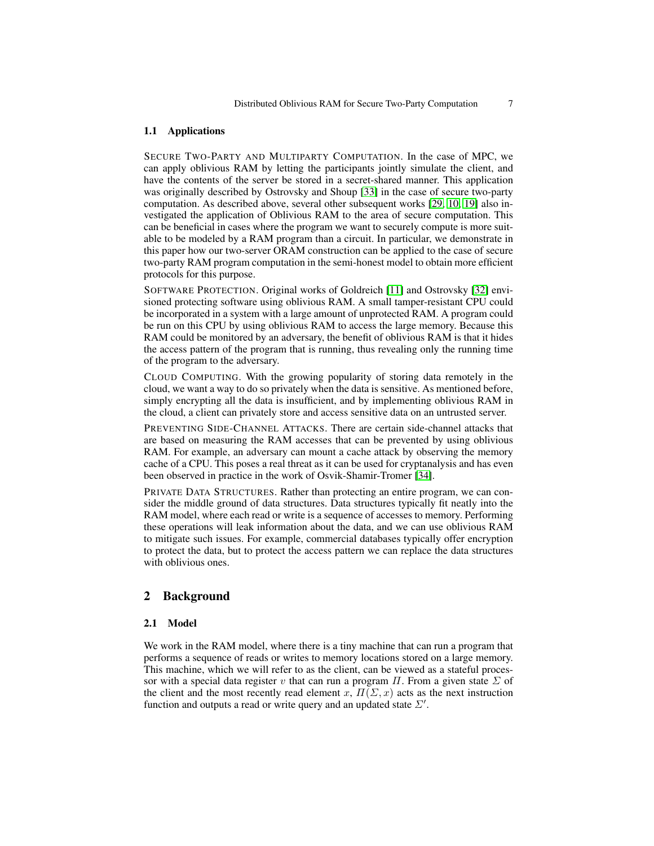### 1.1 Applications

SECURE TWO-PARTY AND MULTIPARTY COMPUTATION. In the case of MPC, we can apply oblivious RAM by letting the participants jointly simulate the client, and have the contents of the server be stored in a secret-shared manner. This application was originally described by Ostrovsky and Shoup [\[33\]](#page-19-5) in the case of secure two-party computation. As described above, several other subsequent works [\[29,](#page-19-20) [10,](#page-18-5) [19\]](#page-19-7) also investigated the application of Oblivious RAM to the area of secure computation. This can be beneficial in cases where the program we want to securely compute is more suitable to be modeled by a RAM program than a circuit. In particular, we demonstrate in this paper how our two-server ORAM construction can be applied to the case of secure two-party RAM program computation in the semi-honest model to obtain more efficient protocols for this purpose.

SOFTWARE PROTECTION. Original works of Goldreich [\[11\]](#page-18-1) and Ostrovsky [\[32\]](#page-19-8) envisioned protecting software using oblivious RAM. A small tamper-resistant CPU could be incorporated in a system with a large amount of unprotected RAM. A program could be run on this CPU by using oblivious RAM to access the large memory. Because this RAM could be monitored by an adversary, the benefit of oblivious RAM is that it hides the access pattern of the program that is running, thus revealing only the running time of the program to the adversary.

CLOUD COMPUTING. With the growing popularity of storing data remotely in the cloud, we want a way to do so privately when the data is sensitive. As mentioned before, simply encrypting all the data is insufficient, and by implementing oblivious RAM in the cloud, a client can privately store and access sensitive data on an untrusted server.

PREVENTING SIDE-CHANNEL ATTACKS. There are certain side-channel attacks that are based on measuring the RAM accesses that can be prevented by using oblivious RAM. For example, an adversary can mount a cache attack by observing the memory cache of a CPU. This poses a real threat as it can be used for cryptanalysis and has even been observed in practice in the work of Osvik-Shamir-Tromer [\[34\]](#page-19-22).

PRIVATE DATA STRUCTURES. Rather than protecting an entire program, we can consider the middle ground of data structures. Data structures typically fit neatly into the RAM model, where each read or write is a sequence of accesses to memory. Performing these operations will leak information about the data, and we can use oblivious RAM to mitigate such issues. For example, commercial databases typically offer encryption to protect the data, but to protect the access pattern we can replace the data structures with oblivious ones.

# <span id="page-6-0"></span>2 Background

### 2.1 Model

We work in the RAM model, where there is a tiny machine that can run a program that performs a sequence of reads or writes to memory locations stored on a large memory. This machine, which we will refer to as the client, can be viewed as a stateful processor with a special data register v that can run a program  $\Pi$ . From a given state  $\Sigma$  of the client and the most recently read element x,  $\Pi(\Sigma, x)$  acts as the next instruction function and outputs a read or write query and an updated state  $\Sigma'$ .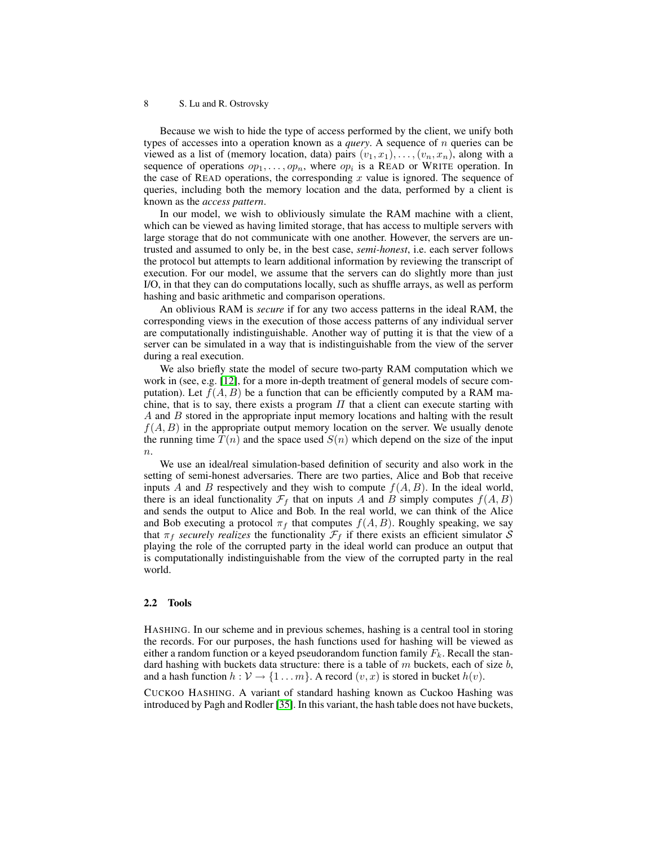Because we wish to hide the type of access performed by the client, we unify both types of accesses into a operation known as a *query*. A sequence of n queries can be viewed as a list of (memory location, data) pairs  $(v_1, x_1), \ldots, (v_n, x_n)$ , along with a sequence of operations  $op_1, \ldots, op_n$ , where  $op_i$  is a READ or WRITE operation. In the case of READ operations, the corresponding  $x$  value is ignored. The sequence of queries, including both the memory location and the data, performed by a client is known as the *access pattern*.

In our model, we wish to obliviously simulate the RAM machine with a client, which can be viewed as having limited storage, that has access to multiple servers with large storage that do not communicate with one another. However, the servers are untrusted and assumed to only be, in the best case, *semi-honest*, i.e. each server follows the protocol but attempts to learn additional information by reviewing the transcript of execution. For our model, we assume that the servers can do slightly more than just I/O, in that they can do computations locally, such as shuffle arrays, as well as perform hashing and basic arithmetic and comparison operations.

An oblivious RAM is *secure* if for any two access patterns in the ideal RAM, the corresponding views in the execution of those access patterns of any individual server are computationally indistinguishable. Another way of putting it is that the view of a server can be simulated in a way that is indistinguishable from the view of the server during a real execution.

We also briefly state the model of secure two-party RAM computation which we work in (see, e.g. [\[12\]](#page-18-11), for a more in-depth treatment of general models of secure computation). Let  $f(A, B)$  be a function that can be efficiently computed by a RAM machine, that is to say, there exists a program  $\Pi$  that a client can execute starting with A and B stored in the appropriate input memory locations and halting with the result  $f(A, B)$  in the appropriate output memory location on the server. We usually denote the running time  $T(n)$  and the space used  $S(n)$  which depend on the size of the input  $n$ .

We use an ideal/real simulation-based definition of security and also work in the setting of semi-honest adversaries. There are two parties, Alice and Bob that receive inputs A and B respectively and they wish to compute  $f(A, B)$ . In the ideal world, there is an ideal functionality  $\mathcal{F}_f$  that on inputs A and B simply computes  $f(A, B)$ and sends the output to Alice and Bob. In the real world, we can think of the Alice and Bob executing a protocol  $\pi_f$  that computes  $f(A, B)$ . Roughly speaking, we say that  $\pi_f$  *securely realizes* the functionality  $\mathcal{F}_f$  if there exists an efficient simulator S playing the role of the corrupted party in the ideal world can produce an output that is computationally indistinguishable from the view of the corrupted party in the real world.

#### 2.2 Tools

HASHING. In our scheme and in previous schemes, hashing is a central tool in storing the records. For our purposes, the hash functions used for hashing will be viewed as either a random function or a keyed pseudorandom function family  $F_k$ . Recall the standard hashing with buckets data structure: there is a table of  $m$  buckets, each of size  $b$ , and a hash function  $h : \mathcal{V} \to \{1 \dots m\}$ . A record  $(v, x)$  is stored in bucket  $h(v)$ .

CUCKOO HASHING. A variant of standard hashing known as Cuckoo Hashing was introduced by Pagh and Rodler [\[35\]](#page-19-23). In this variant, the hash table does not have buckets,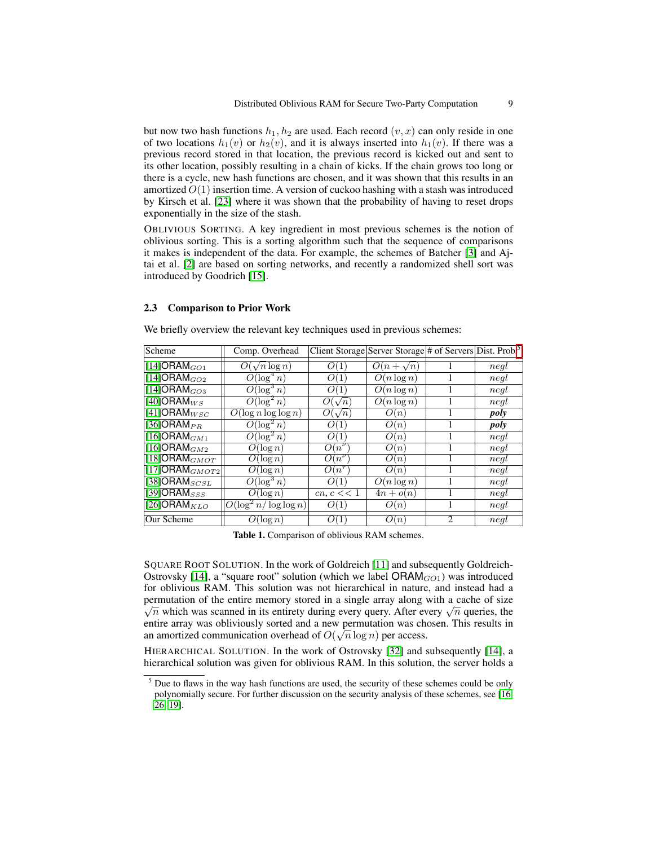but now two hash functions  $h_1, h_2$  are used. Each record  $(v, x)$  can only reside in one of two locations  $h_1(v)$  or  $h_2(v)$ , and it is always inserted into  $h_1(v)$ . If there was a previous record stored in that location, the previous record is kicked out and sent to its other location, possibly resulting in a chain of kicks. If the chain grows too long or there is a cycle, new hash functions are chosen, and it was shown that this results in an amortized  $O(1)$  insertion time. A version of cuckoo hashing with a stash was introduced by Kirsch et al. [\[23\]](#page-19-24) where it was shown that the probability of having to reset drops exponentially in the size of the stash.

OBLIVIOUS SORTING. A key ingredient in most previous schemes is the notion of oblivious sorting. This is a sorting algorithm such that the sequence of comparisons it makes is independent of the data. For example, the schemes of Batcher [\[3\]](#page-18-12) and Ajtai et al. [\[2\]](#page-18-13) are based on sorting networks, and recently a randomized shell sort was introduced by Goodrich [\[15\]](#page-18-14).

### <span id="page-8-0"></span>2.3 Comparison to Prior Work

| Scheme                           | Comp. Overhead                 |                         | Client Storage Server Storage # of Servers Dist. Prob. <sup>5</sup> |               |                 |
|----------------------------------|--------------------------------|-------------------------|---------------------------------------------------------------------|---------------|-----------------|
| $\sqrt{14}$ ORAM $_{GO1}$        | $\overline{O(\sqrt{n}\log n})$ | O(1)                    | $O(n+\sqrt{n})$                                                     |               | negl            |
| $\sqrt{14}$ ORAM $_{GO2}$        | $O(\log^4 n)$                  | O(1)                    | $O(n \log n)$                                                       |               | $\eta$          |
| $\overline{[14]$ ORAM $_{GO3}$   | $O(\log^3 n)$                  | O(1)                    | $O(n \log n)$                                                       |               | $\eta$          |
| $\sqrt{40}$ ORAM $_{WS}$         | $O(\log^2 n)$                  | $O(\sqrt{n})$           | $O(n \log n)$                                                       |               | $\mathit{negl}$ |
| $\sqrt{41}$ ORAM $_{WSC}$        | $(\log n \log \log n)$<br>OΙ   | $O(\sqrt{n})$           | O(n)                                                                |               | poly            |
| [36] ORAM $_{PR}$                | $O(\log^2 n)$                  | O(1)                    | O(n)                                                                |               | poly            |
| $\overline{[16]$ ORAM $_{GM1}$   | $O(\log^2 n)$                  | O(1)                    | O(n)                                                                |               | $\eta$          |
| $\sqrt{16}$ ORAM $\frac{1}{GM2}$ | $O(\log n)$                    | $O(n^{\overline{\nu}})$ | O(n)                                                                |               | $\eta$          |
| $\sqrt{18}$ ORAM $_{GMOT}$       | $O(\log n)$                    | $O(n^{\overline{\nu}})$ | O(n)                                                                |               | negl            |
| $\overline{[17]$ ORAM $_{GMOT2}$ | $O(\log n)$                    | $O(n^{\tau})$           | O(n)                                                                |               | $\eta$          |
| $\overline{[38]$ ORAM $_{SCSL}$  | $O(\log^3 n)$                  | O(1)                    | $O(n \log n)$                                                       |               | $\eta$          |
| $\overline{[39]}$ ORAM $_{SSS}$  | $O(\log n)$                    | cn, c << 1              | $4n + o(n)$                                                         |               | negl            |
| $\overline{[26]$ ORAM $_{KLO}$   | $ O(\log^2 n / \log \log n) $  | O(1)                    | O(n)                                                                |               | $\eta$          |
| Our Scheme                       | $O(\log n)$                    | O(1)                    | O(n)                                                                | $\mathcal{D}$ | negl            |

We briefly overview the relevant key techniques used in previous schemes:

Table 1. Comparison of oblivious RAM schemes.

SQUARE ROOT SOLUTION. In the work of Goldreich [\[11\]](#page-18-1) and subsequently Goldreich-Ostrovsky [\[14\]](#page-18-2), a "square root" solution (which we label  $ORAM_{GO1}$ ) was introduced for oblivious RAM. This solution was not hierarchical in nature, and instead had a permutation of the entire memory stored in a single array along with a cache of size rmutation of the entire memory stored in a single array along with a cache of size  $\overline{n}$  which was scanned in its entirety during every query. After every  $\sqrt{n}$  queries, the entire array was obliviously sorted and a new permutation was chosen. This results in an amortized communication overhead of  $O(\sqrt{n}\log n)$  per access.

HIERARCHICAL SOLUTION. In the work of Ostrovsky [\[32\]](#page-19-8) and subsequently [\[14\]](#page-18-2), a hierarchical solution was given for oblivious RAM. In this solution, the server holds a

<span id="page-8-1"></span><sup>&</sup>lt;sup>5</sup> Due to flaws in the way hash functions are used, the security of these schemes could be only polynomially secure. For further discussion on the security analysis of these schemes, see [\[16,](#page-18-3) [26,](#page-19-6) [19\]](#page-19-7).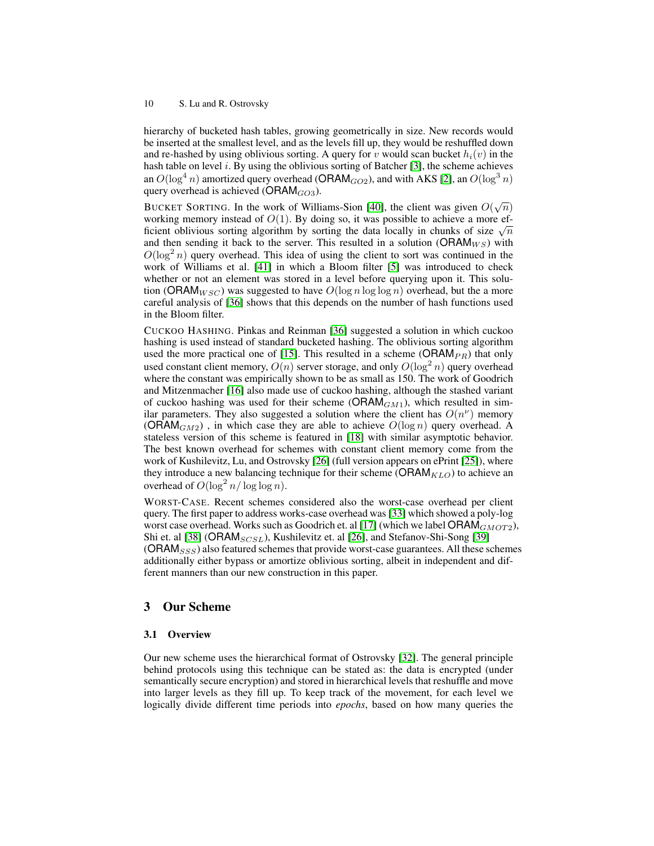hierarchy of bucketed hash tables, growing geometrically in size. New records would be inserted at the smallest level, and as the levels fill up, they would be reshuffled down and re-hashed by using oblivious sorting. A query for v would scan bucket  $h_i(v)$  in the hash table on level  $i$ . By using the oblivious sorting of Batcher [\[3\]](#page-18-12), the scheme achieves an  $O(\log^4 n)$  amortized query overhead ( $\mathsf{ORAM}_{GO2}$ ), and with AKS [\[2\]](#page-18-13), an  $O(\log^3 n)$ query overhead is achieved ( $\textsf{OPAM}_{GO3}$ ).

BUCKET SORTING. In the work of Williams-Sion [\[40\]](#page-19-13), the client was given  $O(\sqrt{n})$ working memory instead of  $O(1)$ . By doing so, it was possible to achieve a more efworking memory instead of  $O(1)$ . By doing so, it was possible to achieve a more efficient oblivious sorting algorithm by sorting the data locally in chunks of size  $\sqrt{n}$ and then sending it back to the server. This resulted in a solution ( $\textsf{OPAM}_{WS}$ ) with  $O(\log^2 n)$  query overhead. This idea of using the client to sort was continued in the work of Williams et al. [\[41\]](#page-19-14) in which a Bloom filter [\[5\]](#page-18-15) was introduced to check whether or not an element was stored in a level before querying upon it. This solution (ORAM<sub>WSC</sub>) was suggested to have  $O(\log n \log \log n)$  overhead, but the a more careful analysis of [\[36\]](#page-19-15) shows that this depends on the number of hash functions used in the Bloom filter.

CUCKOO HASHING. Pinkas and Reinman [\[36\]](#page-19-15) suggested a solution in which cuckoo hashing is used instead of standard bucketed hashing. The oblivious sorting algorithm used the more practical one of [\[15\]](#page-18-14). This resulted in a scheme ( $\textsf{ORAM}_{PR}$ ) that only used constant client memory,  $O(n)$  server storage, and only  $O(\log^2 n)$  query overhead where the constant was empirically shown to be as small as 150. The work of Goodrich and Mitzenmacher [\[16\]](#page-18-3) also made use of cuckoo hashing, although the stashed variant of cuckoo hashing was used for their scheme ( $\textsf{OPAM}_{GM1}$ ), which resulted in similar parameters. They also suggested a solution where the client has  $O(n^{\nu})$  memory (ORAM<sub>GM2</sub>), in which case they are able to achieve  $O(\log n)$  query overhead. A stateless version of this scheme is featured in [\[18\]](#page-19-18) with similar asymptotic behavior. The best known overhead for schemes with constant client memory come from the work of Kushilevitz, Lu, and Ostrovsky [\[26\]](#page-19-6) (full version appears on ePrint [\[25\]](#page-19-25)), where they introduce a new balancing technique for their scheme ( $\text{ORAM}_{KLO}$ ) to achieve an overhead of  $O(\log^2 n / \log \log n)$ .

WORST-CASE. Recent schemes considered also the worst-case overhead per client query. The first paper to address works-case overhead was [\[33\]](#page-19-5) which showed a poly-log worst case overhead. Works such as Goodrich et. al [\[17\]](#page-19-16) (which we label  $\textsf{ORAM}_{GMOT2}$ ), Shi et. al [\[38\]](#page-19-17) ( $ORAM_{SCSL}$ ), Kushilevitz et. al [\[26\]](#page-19-6), and Stefanov-Shi-Song [\[39\]](#page-19-19)  $(ORAM<sub>SSS</sub>)$  also featured schemes that provide worst-case guarantees. All these schemes additionally either bypass or amortize oblivious sorting, albeit in independent and different manners than our new construction in this paper.

# 3 Our Scheme

### 3.1 Overview

Our new scheme uses the hierarchical format of Ostrovsky [\[32\]](#page-19-8). The general principle behind protocols using this technique can be stated as: the data is encrypted (under semantically secure encryption) and stored in hierarchical levels that reshuffle and move into larger levels as they fill up. To keep track of the movement, for each level we logically divide different time periods into *epochs*, based on how many queries the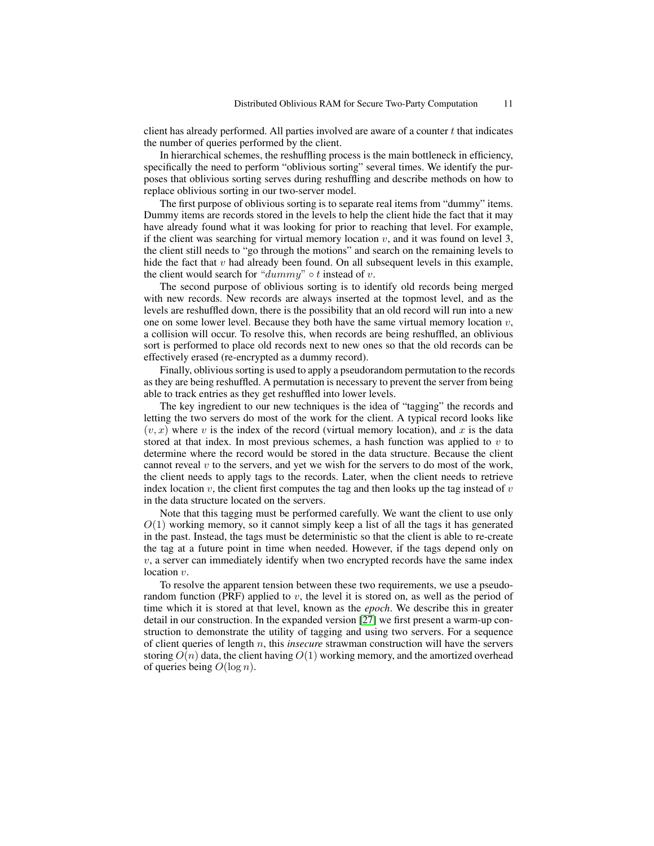client has already performed. All parties involved are aware of a counter  $t$  that indicates the number of queries performed by the client.

In hierarchical schemes, the reshuffling process is the main bottleneck in efficiency, specifically the need to perform "oblivious sorting" several times. We identify the purposes that oblivious sorting serves during reshuffling and describe methods on how to replace oblivious sorting in our two-server model.

The first purpose of oblivious sorting is to separate real items from "dummy" items. Dummy items are records stored in the levels to help the client hide the fact that it may have already found what it was looking for prior to reaching that level. For example, if the client was searching for virtual memory location  $v$ , and it was found on level 3, the client still needs to "go through the motions" and search on the remaining levels to hide the fact that  $v$  had already been found. On all subsequent levels in this example, the client would search for " $dummy$ "  $\circ$  t instead of v.

The second purpose of oblivious sorting is to identify old records being merged with new records. New records are always inserted at the topmost level, and as the levels are reshuffled down, there is the possibility that an old record will run into a new one on some lower level. Because they both have the same virtual memory location  $v$ , a collision will occur. To resolve this, when records are being reshuffled, an oblivious sort is performed to place old records next to new ones so that the old records can be effectively erased (re-encrypted as a dummy record).

Finally, oblivious sorting is used to apply a pseudorandom permutation to the records as they are being reshuffled. A permutation is necessary to prevent the server from being able to track entries as they get reshuffled into lower levels.

The key ingredient to our new techniques is the idea of "tagging" the records and letting the two servers do most of the work for the client. A typical record looks like  $(v, x)$  where v is the index of the record (virtual memory location), and x is the data stored at that index. In most previous schemes, a hash function was applied to  $v$  to determine where the record would be stored in the data structure. Because the client cannot reveal  $v$  to the servers, and yet we wish for the servers to do most of the work, the client needs to apply tags to the records. Later, when the client needs to retrieve index location  $v$ , the client first computes the tag and then looks up the tag instead of  $v$ in the data structure located on the servers.

Note that this tagging must be performed carefully. We want the client to use only  $O(1)$  working memory, so it cannot simply keep a list of all the tags it has generated in the past. Instead, the tags must be deterministic so that the client is able to re-create the tag at a future point in time when needed. However, if the tags depend only on  $v$ , a server can immediately identify when two encrypted records have the same index location  $v$ .

To resolve the apparent tension between these two requirements, we use a pseudorandom function (PRF) applied to  $v$ , the level it is stored on, as well as the period of time which it is stored at that level, known as the *epoch*. We describe this in greater detail in our construction. In the expanded version [\[27\]](#page-19-1) we first present a warm-up construction to demonstrate the utility of tagging and using two servers. For a sequence of client queries of length n, this *insecure* strawman construction will have the servers storing  $O(n)$  data, the client having  $O(1)$  working memory, and the amortized overhead of queries being  $O(\log n)$ .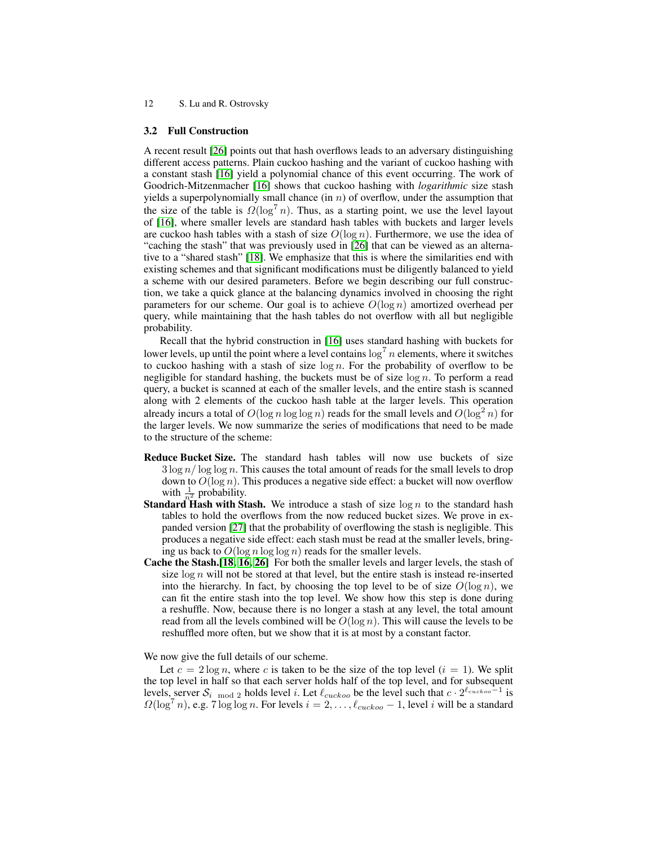#### 3.2 Full Construction

A recent result [\[26\]](#page-19-6) points out that hash overflows leads to an adversary distinguishing different access patterns. Plain cuckoo hashing and the variant of cuckoo hashing with a constant stash [\[16\]](#page-18-3) yield a polynomial chance of this event occurring. The work of Goodrich-Mitzenmacher [\[16\]](#page-18-3) shows that cuckoo hashing with *logarithmic* size stash yields a superpolynomially small chance (in  $n$ ) of overflow, under the assumption that the size of the table is  $\Omega(\log^7 n)$ . Thus, as a starting point, we use the level layout of [\[16\]](#page-18-3), where smaller levels are standard hash tables with buckets and larger levels are cuckoo hash tables with a stash of size  $O(\log n)$ . Furthermore, we use the idea of "caching the stash" that was previously used in [\[26\]](#page-19-6) that can be viewed as an alternative to a "shared stash" [\[18\]](#page-19-18). We emphasize that this is where the similarities end with existing schemes and that significant modifications must be diligently balanced to yield a scheme with our desired parameters. Before we begin describing our full construction, we take a quick glance at the balancing dynamics involved in choosing the right parameters for our scheme. Our goal is to achieve  $O(\log n)$  amortized overhead per query, while maintaining that the hash tables do not overflow with all but negligible probability.

Recall that the hybrid construction in [\[16\]](#page-18-3) uses standard hashing with buckets for lower levels, up until the point where a level contains  $\log^7 n$  elements, where it switches to cuckoo hashing with a stash of size  $\log n$ . For the probability of overflow to be negligible for standard hashing, the buckets must be of size  $\log n$ . To perform a read query, a bucket is scanned at each of the smaller levels, and the entire stash is scanned along with 2 elements of the cuckoo hash table at the larger levels. This operation already incurs a total of  $O(\log n \log \log n)$  reads for the small levels and  $O(\log^2 n)$  for the larger levels. We now summarize the series of modifications that need to be made to the structure of the scheme:

- Reduce Bucket Size. The standard hash tables will now use buckets of size  $3 \log n / \log \log n$ . This causes the total amount of reads for the small levels to drop down to  $O(\log n)$ . This produces a negative side effect: a bucket will now overflow with  $\frac{1}{n^2}$  probability.
- **Standard Hash with Stash.** We introduce a stash of size  $\log n$  to the standard hash tables to hold the overflows from the now reduced bucket sizes. We prove in expanded version [\[27\]](#page-19-1) that the probability of overflowing the stash is negligible. This produces a negative side effect: each stash must be read at the smaller levels, bringing us back to  $O(\log n \log \log n)$  reads for the smaller levels.
- Cache the Stash.[\[18,](#page-19-18) [16,](#page-18-3) [26\]](#page-19-6) For both the smaller levels and larger levels, the stash of size  $\log n$  will not be stored at that level, but the entire stash is instead re-inserted into the hierarchy. In fact, by choosing the top level to be of size  $O(\log n)$ , we can fit the entire stash into the top level. We show how this step is done during a reshuffle. Now, because there is no longer a stash at any level, the total amount read from all the levels combined will be  $O(\log n)$ . This will cause the levels to be reshuffled more often, but we show that it is at most by a constant factor.

We now give the full details of our scheme.

Let  $c = 2 \log n$ , where c is taken to be the size of the top level  $(i = 1)$ . We split the top level in half so that each server holds half of the top level, and for subsequent levels, server  $S_i$  <sub>mod 2</sub> holds level *i*. Let  $\ell_{cuckoo}$  be the level such that  $c \cdot 2^{\ell_{cuckoo}-1}$  is  $\Omega(\log^7 n)$ , e.g. 7 log log n. For levels  $i = 2, \ldots, \ell_{\text{cuckoo}} - 1$ , level i will be a standard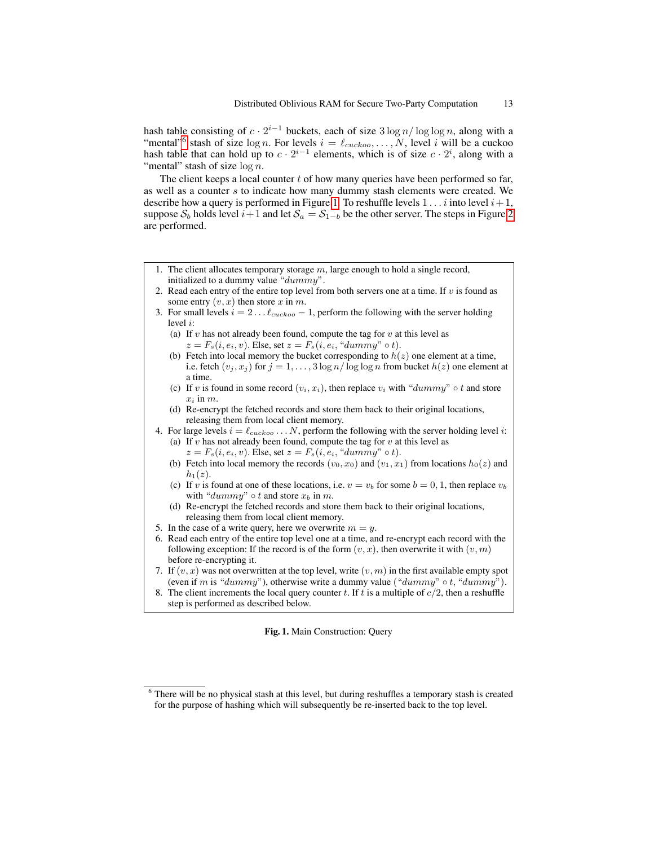hash table consisting of  $c \cdot 2^{i-1}$  buckets, each of size  $3 \log n / \log \log n$ , along with a "mental"<sup>[6](#page-12-0)</sup> stash of size  $\log n$ . For levels  $i = \ell_{cuckoo}, \ldots, N$ , level i will be a cuckoo hash table that can hold up to  $c \cdot 2^{i-1}$  elements, which is of size  $c \cdot 2^i$ , along with a "mental" stash of size  $\log n$ .

The client keeps a local counter  $t$  of how many queries have been performed so far, as well as a counter s to indicate how many dummy stash elements were created. We describe how a query is performed in Figure [1.](#page-12-1) To reshuffle levels  $1 \dots i$  into level  $i + 1$ , suppose  $S_b$  holds level  $i+1$  and let  $S_a = S_{1-b}$  be the other server. The steps in Figure [2](#page-13-0) are performed.

- 1. The client allocates temporary storage  $m$ , large enough to hold a single record, initialized to a dummy value "dummy".
- 2. Read each entry of the entire top level from both servers one at a time. If  $v$  is found as some entry  $(v, x)$  then store x in m.
- 3. For small levels  $i = 2 \ldots \ell_{cuckoo} 1$ , perform the following with the server holding level i:
	- (a) If  $v$  has not already been found, compute the tag for  $v$  at this level as  $z = F_s(i, e_i, v)$ . Else, set  $z = F_s(i, e_i, "dummy" \circ t)$ .
	- (b) Fetch into local memory the bucket corresponding to  $h(z)$  one element at a time, i.e. fetch  $(v_i, x_j)$  for  $j = 1, \ldots, 3 \log n / \log \log n$  from bucket  $h(z)$  one element at a time.
	- (c) If v is found in some record  $(v_i, x_i)$ , then replace  $v_i$  with "dummy"  $\circ t$  and store  $x_i$  in  $m$ .
	- (d) Re-encrypt the fetched records and store them back to their original locations, releasing them from local client memory.
- 4. For large levels  $i = \ell_{cuckoo} \dots N$ , perform the following with the server holding level i: (a) If v has not already been found, compute the tag for  $v$  at this level as
	- $z = F_s(i, e_i, v)$ . Else, set  $z = F_s(i, e_i, "dummy" \circ t)$ .
	- (b) Fetch into local memory the records  $(v_0, x_0)$  and  $(v_1, x_1)$  from locations  $h_0(z)$  and  $h_1(z)$ .
	- (c) If v is found at one of these locations, i.e.  $v = v_b$  for some  $b = 0, 1$ , then replace  $v_b$ with " $dummy$ "  $\circ$  t and store  $x_b$  in m.
	- (d) Re-encrypt the fetched records and store them back to their original locations, releasing them from local client memory.
- 5. In the case of a write query, here we overwrite  $m = y$ .
- 6. Read each entry of the entire top level one at a time, and re-encrypt each record with the following exception: If the record is of the form  $(v, x)$ , then overwrite it with  $(v, m)$ before re-encrypting it.
- 7. If  $(v, x)$  was not overwritten at the top level, write  $(v, m)$  in the first available empty spot (even if m is "dummy"), otherwise write a dummy value ("dummy"  $\circ t$ , "dummy").
- <span id="page-12-1"></span>8. The client increments the local query counter t. If t is a multiple of  $c/2$ , then a reshuffle step is performed as described below.

#### Fig. 1. Main Construction: Query

<span id="page-12-0"></span><sup>&</sup>lt;sup>6</sup> There will be no physical stash at this level, but during reshuffles a temporary stash is created for the purpose of hashing which will subsequently be re-inserted back to the top level.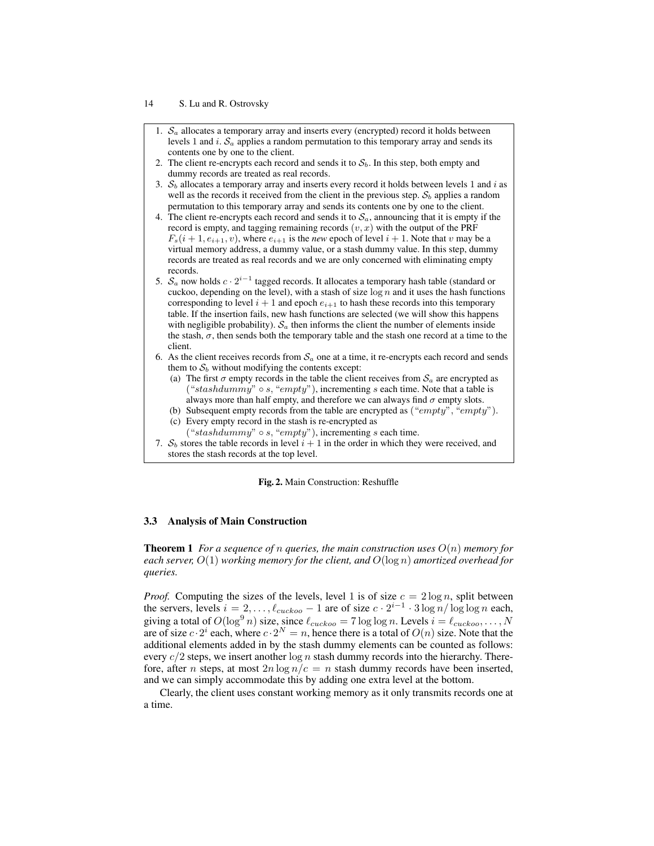<sup>14</sup> S. Lu and R. Ostrovsky

| 1. $S_a$ allocates a temporary array and inserts every (encrypted) record it holds between                                                                                                                                                                                               |
|------------------------------------------------------------------------------------------------------------------------------------------------------------------------------------------------------------------------------------------------------------------------------------------|
| levels 1 and i. $S_a$ applies a random permutation to this temporary array and sends its                                                                                                                                                                                                 |
| contents one by one to the client.                                                                                                                                                                                                                                                       |
| 2. The client re-encrypts each record and sends it to $S_b$ . In this step, both empty and                                                                                                                                                                                               |
| dummy records are treated as real records.                                                                                                                                                                                                                                               |
| 3. $S_b$ allocates a temporary array and inserts every record it holds between levels 1 and i as<br>well as the records it received from the client in the previous step. $S_b$ applies a random<br>permutation to this temporary array and sends its contents one by one to the client. |
| 4. The client re-encrypts each record and sends it to $S_a$ , announcing that it is empty if the                                                                                                                                                                                         |
| record is empty, and tagging remaining records $(v, x)$ with the output of the PRF                                                                                                                                                                                                       |
| $F_s(i + 1, e_{i+1}, v)$ , where $e_{i+1}$ is the <i>new</i> epoch of level $i + 1$ . Note that v may be a                                                                                                                                                                               |
| virtual memory address, a dummy value, or a stash dummy value. In this step, dummy                                                                                                                                                                                                       |
| records are treated as real records and we are only concerned with eliminating empty                                                                                                                                                                                                     |
| records.                                                                                                                                                                                                                                                                                 |
| 5. $S_a$ now holds $c \cdot 2^{i-1}$ tagged records. It allocates a temporary hash table (standard or                                                                                                                                                                                    |
| cuckoo, depending on the level), with a stash of size $\log n$ and it uses the hash functions                                                                                                                                                                                            |
| corresponding to level $i + 1$ and epoch $e_{i+1}$ to hash these records into this temporary                                                                                                                                                                                             |
| table. If the insertion fails, new hash functions are selected (we will show this happens                                                                                                                                                                                                |
| with negligible probability). $S_a$ then informs the client the number of elements inside                                                                                                                                                                                                |
| the stash, $\sigma$ , then sends both the temporary table and the stash one record at a time to the                                                                                                                                                                                      |
| client.                                                                                                                                                                                                                                                                                  |
| 6. As the client receives records from $S_a$ one at a time, it re-encrypts each record and sends                                                                                                                                                                                         |
| them to $S_b$ without modifying the contents except:                                                                                                                                                                                                                                     |
| (a) The first $\sigma$ empty records in the table the client receives from $S_a$ are encrypted as                                                                                                                                                                                        |
| ("stashdummy" $\circ s$ , "empty"), incrementing s each time. Note that a table is                                                                                                                                                                                                       |
| always more than half empty, and therefore we can always find $\sigma$ empty slots.                                                                                                                                                                                                      |
| (b) Subsequent empty records from the table are encrypted as $("empty", "empty").$                                                                                                                                                                                                       |
| (c) Every empty record in the stash is re-encrypted as                                                                                                                                                                                                                                   |
| ("stashdummy" $\circ$ s, "empty"), incrementing s each time.                                                                                                                                                                                                                             |
| 7. $S_b$ stores the table records in level $i + 1$ in the order in which they were received, and                                                                                                                                                                                         |
| stores the stash records at the top level.                                                                                                                                                                                                                                               |

Fig. 2. Main Construction: Reshuffle

### <span id="page-13-0"></span>3.3 Analysis of Main Construction

**Theorem 1** *For a sequence of n queries, the main construction uses*  $O(n)$  *memory for each server,* O(1) *working memory for the client, and* O(log n) *amortized overhead for queries.*

*Proof.* Computing the sizes of the levels, level 1 is of size  $c = 2 \log n$ , split between the servers, levels  $i = 2, \ldots, \ell_{cuckoo} - 1$  are of size  $c \cdot 2^{i-1} \cdot 3 \log n / \log \log n$  each, giving a total of  $O(\log^9 n)$  size, since  $\ell_{cuckoo} = 7 \log \log n$ . Levels  $i = \ell_{cuckoo}, \dots, N$ are of size  $c \cdot 2^i$  each, where  $c \cdot 2^N = n$ , hence there is a total of  $O(n)$  size. Note that the additional elements added in by the stash dummy elements can be counted as follows: every  $c/2$  steps, we insert another  $\log n$  stash dummy records into the hierarchy. Therefore, after *n* steps, at most  $2n \log n/c = n$  stash dummy records have been inserted, and we can simply accommodate this by adding one extra level at the bottom.

Clearly, the client uses constant working memory as it only transmits records one at a time.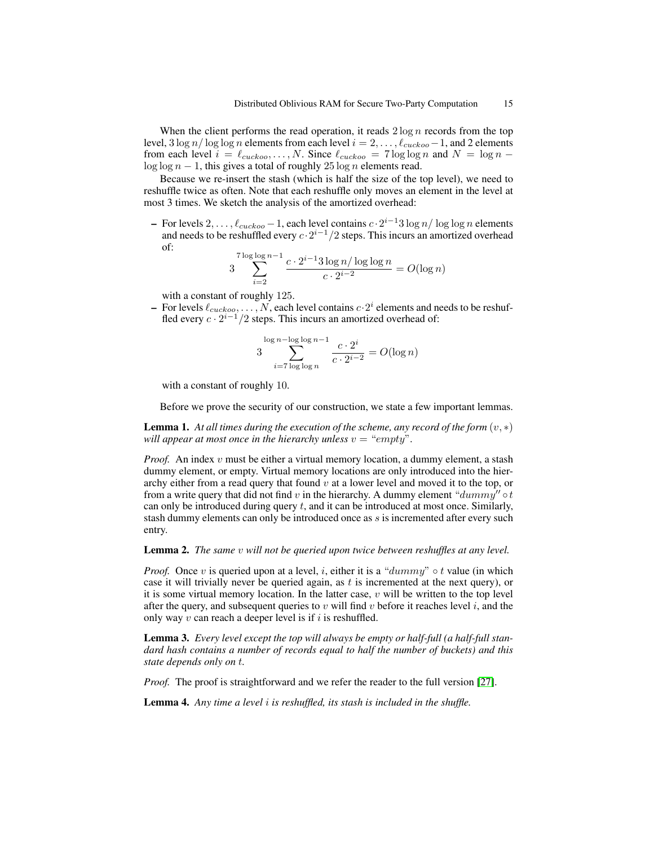When the client performs the read operation, it reads  $2 \log n$  records from the top level, 3 log  $n/\log \log n$  elements from each level  $i = 2, \ldots, \ell_{cuckoo} - 1$ , and 2 elements from each level  $i = \ell_{cuckoo}, \ldots, N$ . Since  $\ell_{cuckoo} = 7 \log \log n$  and  $N = \log n \log \log n - 1$ , this gives a total of roughly 25  $\log n$  elements read.

Because we re-insert the stash (which is half the size of the top level), we need to reshuffle twice as often. Note that each reshuffle only moves an element in the level at most 3 times. We sketch the analysis of the amortized overhead:

– For levels 2, . . . ,  $\ell_{cuckoo}$  – 1, each level contains  $c \cdot 2^{i-1}3 \log n / \log \log n$  elements and needs to be reshuffled every  $c \cdot 2^{i-1}/2$  steps. This incurs an amortized overhead of:

$$
3\sum_{i=2}^{7 \log \log n - 1} \frac{c \cdot 2^{i-1} 3 \log n / \log \log n}{c \cdot 2^{i-2}} = O(\log n)
$$

with a constant of roughly 125.

- For levels  $\ell_{cuckoo}, \ldots, N$ , each level contains  $c \cdot 2^i$  elements and needs to be reshuffled every  $c \cdot 2^{i-1}/2$  steps. This incurs an amortized overhead of:

$$
3\sum_{i=7\log\log n}^{\log n - \log\log n - 1} \frac{c \cdot 2^i}{c \cdot 2^{i-2}} = O(\log n)
$$

with a constant of roughly 10.

Before we prove the security of our construction, we state a few important lemmas.

<span id="page-14-0"></span>**Lemma 1.** At all times during the execution of the scheme, any record of the form  $(v, *)$ *will appear at most once in the hierarchy unless*  $v =$  "*empty*".

*Proof.* An index v must be either a virtual memory location, a dummy element, a stash dummy element, or empty. Virtual memory locations are only introduced into the hierarchy either from a read query that found  $v$  at a lower level and moved it to the top, or from a write query that did not find v in the hierarchy. A dummy element " $dumm'$  o t can only be introduced during query  $t$ , and it can be introduced at most once. Similarly, stash dummy elements can only be introduced once as s is incremented after every such entry.

<span id="page-14-3"></span>Lemma 2. *The same* v *will not be queried upon twice between reshuffles at any level.*

*Proof.* Once v is queried upon at a level, i, either it is a "dummy"  $\circ$  t value (in which case it will trivially never be queried again, as  $t$  is incremented at the next query), or it is some virtual memory location. In the latter case,  $v$  will be written to the top level after the query, and subsequent queries to v will find v before it reaches level i, and the only way  $v$  can reach a deeper level is if  $i$  is reshuffled.

<span id="page-14-1"></span>Lemma 3. *Every level except the top will always be empty or half-full (a half-full standard hash contains a number of records equal to half the number of buckets) and this state depends only on* t*.*

*Proof.* The proof is straightforward and we refer the reader to the full version [\[27\]](#page-19-1).

<span id="page-14-2"></span>Lemma 4. *Any time a level* i *is reshuffled, its stash is included in the shuffle.*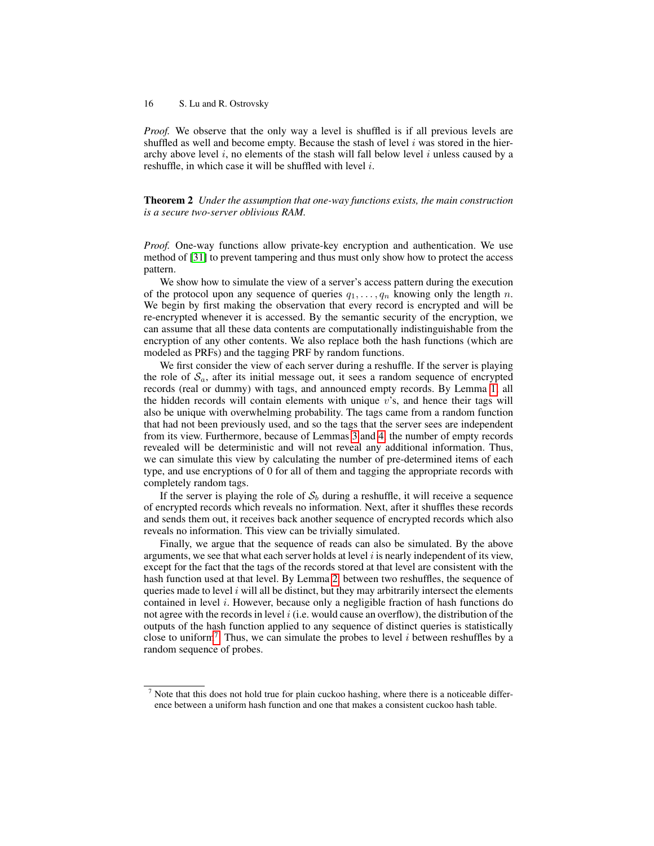*Proof.* We observe that the only way a level is shuffled is if all previous levels are shuffled as well and become empty. Because the stash of level  $i$  was stored in the hierarchy above level i, no elements of the stash will fall below level i unless caused by a reshuffle, in which case it will be shuffled with level  $i$ .

Theorem 2 *Under the assumption that one-way functions exists, the main construction is a secure two-server oblivious RAM.*

*Proof.* One-way functions allow private-key encryption and authentication. We use method of [\[31\]](#page-19-9) to prevent tampering and thus must only show how to protect the access pattern.

We show how to simulate the view of a server's access pattern during the execution of the protocol upon any sequence of queries  $q_1, \ldots, q_n$  knowing only the length n. We begin by first making the observation that every record is encrypted and will be re-encrypted whenever it is accessed. By the semantic security of the encryption, we can assume that all these data contents are computationally indistinguishable from the encryption of any other contents. We also replace both the hash functions (which are modeled as PRFs) and the tagging PRF by random functions.

We first consider the view of each server during a reshuffle. If the server is playing the role of  $S_a$ , after its initial message out, it sees a random sequence of encrypted records (real or dummy) with tags, and announced empty records. By Lemma [1,](#page-14-0) all the hidden records will contain elements with unique  $v$ 's, and hence their tags will also be unique with overwhelming probability. The tags came from a random function that had not been previously used, and so the tags that the server sees are independent from its view. Furthermore, because of Lemmas [3](#page-14-1) and [4,](#page-14-2) the number of empty records revealed will be deterministic and will not reveal any additional information. Thus, we can simulate this view by calculating the number of pre-determined items of each type, and use encryptions of 0 for all of them and tagging the appropriate records with completely random tags.

If the server is playing the role of  $S_b$  during a reshuffle, it will receive a sequence of encrypted records which reveals no information. Next, after it shuffles these records and sends them out, it receives back another sequence of encrypted records which also reveals no information. This view can be trivially simulated.

Finally, we argue that the sequence of reads can also be simulated. By the above arguments, we see that what each server holds at level  $i$  is nearly independent of its view, except for the fact that the tags of the records stored at that level are consistent with the hash function used at that level. By Lemma [2,](#page-14-3) between two reshuffles, the sequence of queries made to level  $i$  will all be distinct, but they may arbitrarily intersect the elements contained in level i. However, because only a negligible fraction of hash functions do not agree with the records in level  $i$  (i.e. would cause an overflow), the distribution of the outputs of the hash function applied to any sequence of distinct queries is statistically close to uniform<sup>[7](#page-15-0)</sup>. Thus, we can simulate the probes to level i between reshuffles by a random sequence of probes.

<span id="page-15-0"></span> $<sup>7</sup>$  Note that this does not hold true for plain cuckoo hashing, where there is a noticeable differ-</sup> ence between a uniform hash function and one that makes a consistent cuckoo hash table.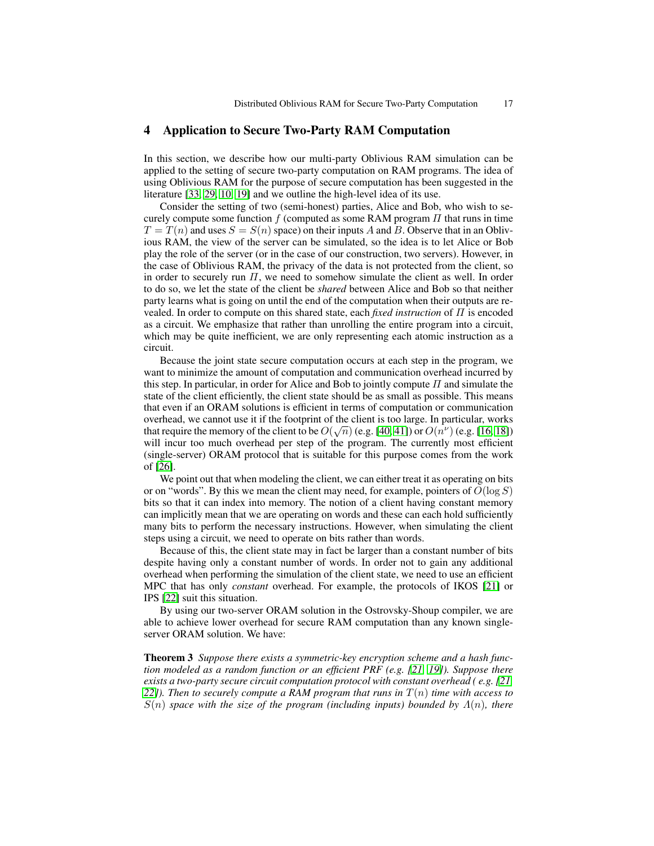# 4 Application to Secure Two-Party RAM Computation

In this section, we describe how our multi-party Oblivious RAM simulation can be applied to the setting of secure two-party computation on RAM programs. The idea of using Oblivious RAM for the purpose of secure computation has been suggested in the literature [\[33,](#page-19-5) [29,](#page-19-20) [10,](#page-18-5) [19\]](#page-19-7) and we outline the high-level idea of its use.

Consider the setting of two (semi-honest) parties, Alice and Bob, who wish to securely compute some function f (computed as some RAM program  $\Pi$  that runs in time  $T = T(n)$  and uses  $S = S(n)$  space) on their inputs A and B. Observe that in an Oblivious RAM, the view of the server can be simulated, so the idea is to let Alice or Bob play the role of the server (or in the case of our construction, two servers). However, in the case of Oblivious RAM, the privacy of the data is not protected from the client, so in order to securely run  $\Pi$ , we need to somehow simulate the client as well. In order to do so, we let the state of the client be *shared* between Alice and Bob so that neither party learns what is going on until the end of the computation when their outputs are revealed. In order to compute on this shared state, each *fixed instruction* of Π is encoded as a circuit. We emphasize that rather than unrolling the entire program into a circuit, which may be quite inefficient, we are only representing each atomic instruction as a circuit.

Because the joint state secure computation occurs at each step in the program, we want to minimize the amount of computation and communication overhead incurred by this step. In particular, in order for Alice and Bob to jointly compute  $\Pi$  and simulate the state of the client efficiently, the client state should be as small as possible. This means that even if an ORAM solutions is efficient in terms of computation or communication overhead, we cannot use it if the footprint of the client is too large. In particular, works that require the memory of the client to be  $O(\sqrt{n})$  (e.g. [\[40,](#page-19-13) [41\]](#page-19-14)) or  $O(n^{\nu})$  (e.g. [\[16,](#page-18-3) [18\]](#page-19-18)) will incur too much overhead per step of the program. The currently most efficient (single-server) ORAM protocol that is suitable for this purpose comes from the work of [\[26\]](#page-19-6).

We point out that when modeling the client, we can either treat it as operating on bits or on "words". By this we mean the client may need, for example, pointers of  $\tilde{O}(\log S)$ bits so that it can index into memory. The notion of a client having constant memory can implicitly mean that we are operating on words and these can each hold sufficiently many bits to perform the necessary instructions. However, when simulating the client steps using a circuit, we need to operate on bits rather than words.

Because of this, the client state may in fact be larger than a constant number of bits despite having only a constant number of words. In order not to gain any additional overhead when performing the simulation of the client state, we need to use an efficient MPC that has only *constant* overhead. For example, the protocols of IKOS [\[21\]](#page-19-11) or IPS [\[22\]](#page-19-12) suit this situation.

By using our two-server ORAM solution in the Ostrovsky-Shoup compiler, we are able to achieve lower overhead for secure RAM computation than any known singleserver ORAM solution. We have:

Theorem 3 *Suppose there exists a symmetric-key encryption scheme and a hash function modeled as a random function or an efficient PRF (e.g. [\[21,](#page-19-11) [19\]](#page-19-7)). Suppose there exists a two-party secure circuit computation protocol with constant overhead (e.g. [\[21,](#page-19-11) [22\]](#page-19-12)). Then to securely compute a RAM program that runs in*  $T(n)$  *time with access to*  $S(n)$  *space with the size of the program (including inputs) bounded by*  $\Lambda(n)$ *, there*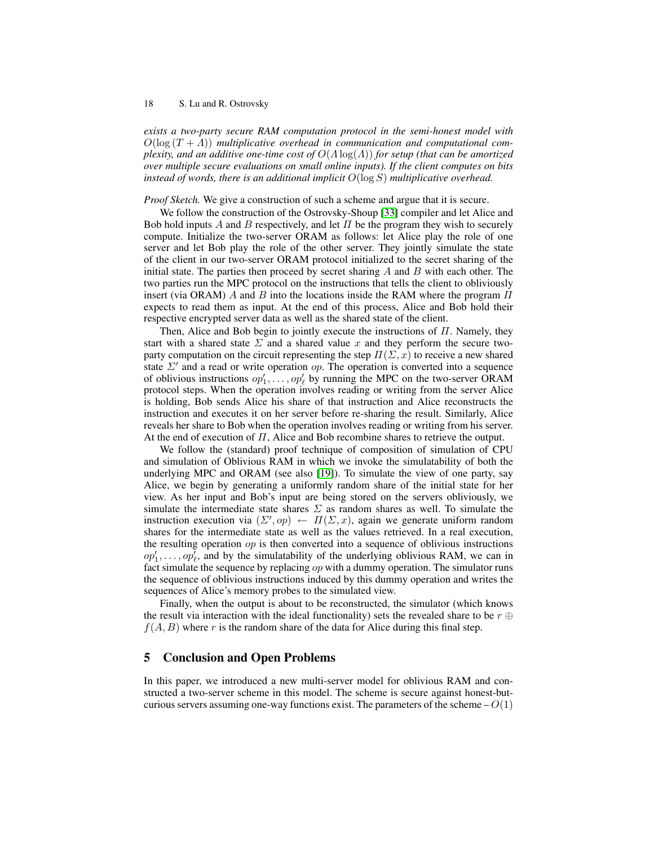*exists a two-party secure RAM computation protocol in the semi-honest model with*  $O(\log(T + \Lambda))$  *multiplicative overhead in communication and computational complexity, and an additive one-time cost of* O(Λlog(Λ)) *for setup (that can be amortized over multiple secure evaluations on small online inputs). If the client computes on bits instead of words, there is an additional implicit* O(log S) *multiplicative overhead.*

*Proof Sketch.* We give a construction of such a scheme and argue that it is secure.

We follow the construction of the Ostrovsky-Shoup [\[33\]](#page-19-5) compiler and let Alice and Bob hold inputs A and B respectively, and let  $\Pi$  be the program they wish to securely compute. Initialize the two-server ORAM as follows: let Alice play the role of one server and let Bob play the role of the other server. They jointly simulate the state of the client in our two-server ORAM protocol initialized to the secret sharing of the initial state. The parties then proceed by secret sharing  $A$  and  $B$  with each other. The two parties run the MPC protocol on the instructions that tells the client to obliviously insert (via ORAM) A and B into the locations inside the RAM where the program  $\Pi$ expects to read them as input. At the end of this process, Alice and Bob hold their respective encrypted server data as well as the shared state of the client.

Then, Alice and Bob begin to jointly execute the instructions of  $\Pi$ . Namely, they start with a shared state  $\Sigma$  and a shared value x and they perform the secure twoparty computation on the circuit representing the step  $\Pi(\Sigma, x)$  to receive a new shared state  $\Sigma'$  and a read or write operation op. The operation is converted into a sequence of oblivious instructions  $op'_1, \ldots, op'_\ell$  by running the MPC on the two-server ORAM protocol steps. When the operation involves reading or writing from the server Alice is holding, Bob sends Alice his share of that instruction and Alice reconstructs the instruction and executes it on her server before re-sharing the result. Similarly, Alice reveals her share to Bob when the operation involves reading or writing from his server. At the end of execution of  $\Pi$ , Alice and Bob recombine shares to retrieve the output.

We follow the (standard) proof technique of composition of simulation of CPU and simulation of Oblivious RAM in which we invoke the simulatability of both the underlying MPC and ORAM (see also [\[19\]](#page-19-7)). To simulate the view of one party, say Alice, we begin by generating a uniformly random share of the initial state for her view. As her input and Bob's input are being stored on the servers obliviously, we simulate the intermediate state shares  $\Sigma$  as random shares as well. To simulate the instruction execution via  $(\Sigma', op) \leftarrow \Pi(\Sigma, x)$ , again we generate uniform random shares for the intermediate state as well as the values retrieved. In a real execution, the resulting operation  $op$  is then converted into a sequence of oblivious instructions  $op'_1, \ldots, op'_\ell$ , and by the simulatability of the underlying oblivious RAM, we can in fact simulate the sequence by replacing  $op$  with a dummy operation. The simulator runs the sequence of oblivious instructions induced by this dummy operation and writes the sequences of Alice's memory probes to the simulated view.

Finally, when the output is about to be reconstructed, the simulator (which knows the result via interaction with the ideal functionality) sets the revealed share to be  $r \oplus$  $f(A, B)$  where r is the random share of the data for Alice during this final step.

# 5 Conclusion and Open Problems

In this paper, we introduced a new multi-server model for oblivious RAM and constructed a two-server scheme in this model. The scheme is secure against honest-butcurious servers assuming one-way functions exist. The parameters of the scheme  $-O(1)$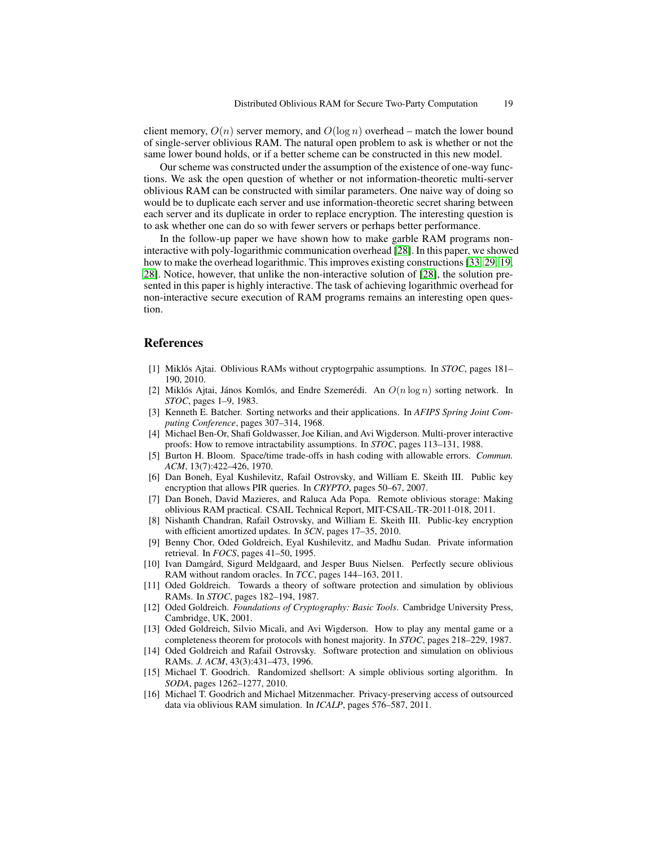client memory,  $O(n)$  server memory, and  $O(\log n)$  overhead – match the lower bound of single-server oblivious RAM. The natural open problem to ask is whether or not the same lower bound holds, or if a better scheme can be constructed in this new model.

Our scheme was constructed under the assumption of the existence of one-way functions. We ask the open question of whether or not information-theoretic multi-server oblivious RAM can be constructed with similar parameters. One naive way of doing so would be to duplicate each server and use information-theoretic secret sharing between each server and its duplicate in order to replace encryption. The interesting question is to ask whether one can do so with fewer servers or perhaps better performance.

In the follow-up paper we have shown how to make garble RAM programs noninteractive with poly-logarithmic communication overhead [\[28\]](#page-19-21). In this paper, we showed how to make the overhead logarithmic. This improves existing constructions [\[33,](#page-19-5) [29,](#page-19-20) [19,](#page-19-7) [28\]](#page-19-21). Notice, however, that unlike the non-interactive solution of [\[28\]](#page-19-21), the solution presented in this paper is highly interactive. The task of achieving logarithmic overhead for non-interactive secure execution of RAM programs remains an interesting open question.

### References

- <span id="page-18-4"></span>[1] Miklos Ajtai. Oblivious RAMs without cryptogrpahic assumptions. In ´ *STOC*, pages 181– 190, 2010.
- <span id="page-18-13"></span>[2] Miklós Ajtai, János Komlós, and Endre Szemerédi. An  $O(n \log n)$  sorting network. In *STOC*, pages 1–9, 1983.
- <span id="page-18-12"></span>[3] Kenneth E. Batcher. Sorting networks and their applications. In *AFIPS Spring Joint Computing Conference*, pages 307–314, 1968.
- <span id="page-18-9"></span>[4] Michael Ben-Or, Shafi Goldwasser, Joe Kilian, and Avi Wigderson. Multi-prover interactive proofs: How to remove intractability assumptions. In *STOC*, pages 113–131, 1988.
- <span id="page-18-15"></span>[5] Burton H. Bloom. Space/time trade-offs in hash coding with allowable errors. *Commun. ACM*, 13(7):422–426, 1970.
- <span id="page-18-7"></span>[6] Dan Boneh, Eyal Kushilevitz, Rafail Ostrovsky, and William E. Skeith III. Public key encryption that allows PIR queries. In *CRYPTO*, pages 50–67, 2007.
- <span id="page-18-6"></span>[7] Dan Boneh, David Mazieres, and Raluca Ada Popa. Remote oblivious storage: Making oblivious RAM practical. CSAIL Technical Report, MIT-CSAIL-TR-2011-018, 2011.
- <span id="page-18-8"></span>[8] Nishanth Chandran, Rafail Ostrovsky, and William E. Skeith III. Public-key encryption with efficient amortized updates. In *SCN*, pages 17–35, 2010.
- <span id="page-18-10"></span>[9] Benny Chor, Oded Goldreich, Eyal Kushilevitz, and Madhu Sudan. Private information retrieval. In *FOCS*, pages 41–50, 1995.
- <span id="page-18-5"></span>[10] Ivan Damgård, Sigurd Meldgaard, and Jesper Buus Nielsen. Perfectly secure oblivious RAM without random oracles. In *TCC*, pages 144–163, 2011.
- <span id="page-18-1"></span>[11] Oded Goldreich. Towards a theory of software protection and simulation by oblivious RAMs. In *STOC*, pages 182–194, 1987.
- <span id="page-18-11"></span>[12] Oded Goldreich. *Foundations of Cryptography: Basic Tools*. Cambridge University Press, Cambridge, UK, 2001.
- <span id="page-18-0"></span>[13] Oded Goldreich, Silvio Micali, and Avi Wigderson. How to play any mental game or a completeness theorem for protocols with honest majority. In *STOC*, pages 218–229, 1987.
- <span id="page-18-2"></span>[14] Oded Goldreich and Rafail Ostrovsky. Software protection and simulation on oblivious RAMs. *J. ACM*, 43(3):431–473, 1996.
- <span id="page-18-14"></span>[15] Michael T. Goodrich. Randomized shellsort: A simple oblivious sorting algorithm. In *SODA*, pages 1262–1277, 2010.
- <span id="page-18-3"></span>[16] Michael T. Goodrich and Michael Mitzenmacher. Privacy-preserving access of outsourced data via oblivious RAM simulation. In *ICALP*, pages 576–587, 2011.